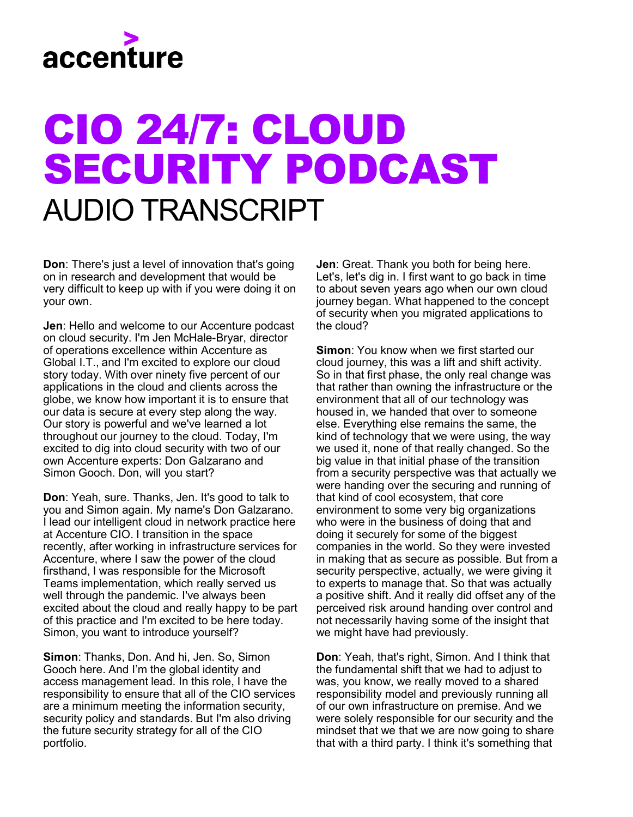

## CIO 24/7: CLOUD SECURITY PODCAST AUDIO TRANSCRIPT

**Don**: There's just a level of innovation that's going on in research and development that would be very difficult to keep up with if you were doing it on your own.

**Jen**: Hello and welcome to our Accenture podcast on cloud security. I'm Jen McHale-Bryar, director of operations excellence within Accenture as Global I.T., and I'm excited to explore our cloud story today. With over ninety five percent of our applications in the cloud and clients across the globe, we know how important it is to ensure that our data is secure at every step along the way. Our story is powerful and we've learned a lot throughout our journey to the cloud. Today, I'm excited to dig into cloud security with two of our own Accenture experts: Don Galzarano and Simon Gooch. Don, will you start?

**Don**: Yeah, sure. Thanks, Jen. It's good to talk to you and Simon again. My name's Don Galzarano. I lead our intelligent cloud in network practice here at Accenture CIO. I transition in the space recently, after working in infrastructure services for Accenture, where I saw the power of the cloud firsthand, I was responsible for the Microsoft Teams implementation, which really served us well through the pandemic. I've always been excited about the cloud and really happy to be part of this practice and I'm excited to be here today. Simon, you want to introduce yourself?

**Simon**: Thanks, Don. And hi, Jen. So, Simon Gooch here. And I'm the global identity and access management lead. In this role, I have the responsibility to ensure that all of the CIO services are a minimum meeting the information security, security policy and standards. But I'm also driving the future security strategy for all of the CIO portfolio.

**Jen**: Great. Thank you both for being here. Let's, let's dig in. I first want to go back in time to about seven years ago when our own cloud journey began. What happened to the concept of security when you migrated applications to the cloud?

**Simon**: You know when we first started our cloud journey, this was a lift and shift activity. So in that first phase, the only real change was that rather than owning the infrastructure or the environment that all of our technology was housed in, we handed that over to someone else. Everything else remains the same, the kind of technology that we were using, the way we used it, none of that really changed. So the big value in that initial phase of the transition from a security perspective was that actually we were handing over the securing and running of that kind of cool ecosystem, that core environment to some very big organizations who were in the business of doing that and doing it securely for some of the biggest companies in the world. So they were invested in making that as secure as possible. But from a security perspective, actually, we were giving it to experts to manage that. So that was actually a positive shift. And it really did offset any of the perceived risk around handing over control and not necessarily having some of the insight that we might have had previously.

**Don**: Yeah, that's right, Simon. And I think that the fundamental shift that we had to adjust to was, you know, we really moved to a shared responsibility model and previously running all of our own infrastructure on premise. And we were solely responsible for our security and the mindset that we that we are now going to share that with a third party. I think it's something that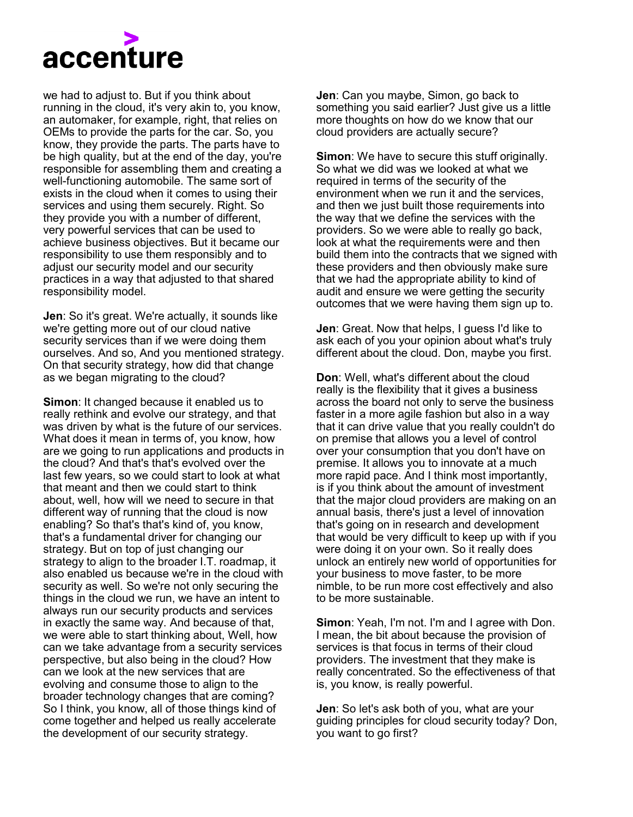

we had to adjust to. But if you think about running in the cloud, it's very akin to, you know, an automaker, for example, right, that relies on OEMs to provide the parts for the car. So, you know, they provide the parts. The parts have to be high quality, but at the end of the day, you're responsible for assembling them and creating a well-functioning automobile. The same sort of exists in the cloud when it comes to using their services and using them securely. Right. So they provide you with a number of different, very powerful services that can be used to achieve business objectives. But it became our responsibility to use them responsibly and to adjust our security model and our security practices in a way that adjusted to that shared responsibility model.

**Jen**: So it's great. We're actually, it sounds like we're getting more out of our cloud native security services than if we were doing them ourselves. And so, And you mentioned strategy. On that security strategy, how did that change as we began migrating to the cloud?

**Simon**: It changed because it enabled us to really rethink and evolve our strategy, and that was driven by what is the future of our services. What does it mean in terms of, you know, how are we going to run applications and products in the cloud? And that's that's evolved over the last few years, so we could start to look at what that meant and then we could start to think about, well, how will we need to secure in that different way of running that the cloud is now enabling? So that's that's kind of, you know, that's a fundamental driver for changing our strategy. But on top of just changing our strategy to align to the broader I.T. roadmap, it also enabled us because we're in the cloud with security as well. So we're not only securing the things in the cloud we run, we have an intent to always run our security products and services in exactly the same way. And because of that, we were able to start thinking about, Well, how can we take advantage from a security services perspective, but also being in the cloud? How can we look at the new services that are evolving and consume those to align to the broader technology changes that are coming? So I think, you know, all of those things kind of come together and helped us really accelerate the development of our security strategy.

**Jen**: Can you maybe, Simon, go back to something you said earlier? Just give us a little more thoughts on how do we know that our cloud providers are actually secure?

**Simon:** We have to secure this stuff originally. So what we did was we looked at what we required in terms of the security of the environment when we run it and the services, and then we just built those requirements into the way that we define the services with the providers. So we were able to really go back, look at what the requirements were and then build them into the contracts that we signed with these providers and then obviously make sure that we had the appropriate ability to kind of audit and ensure we were getting the security outcomes that we were having them sign up to.

**Jen**: Great. Now that helps, I guess I'd like to ask each of you your opinion about what's truly different about the cloud. Don, maybe you first.

**Don**: Well, what's different about the cloud really is the flexibility that it gives a business across the board not only to serve the business faster in a more agile fashion but also in a way that it can drive value that you really couldn't do on premise that allows you a level of control over your consumption that you don't have on premise. It allows you to innovate at a much more rapid pace. And I think most importantly, is if you think about the amount of investment that the major cloud providers are making on an annual basis, there's just a level of innovation that's going on in research and development that would be very difficult to keep up with if you were doing it on your own. So it really does unlock an entirely new world of opportunities for your business to move faster, to be more nimble, to be run more cost effectively and also to be more sustainable.

**Simon**: Yeah, I'm not. I'm and I agree with Don. I mean, the bit about because the provision of services is that focus in terms of their cloud providers. The investment that they make is really concentrated. So the effectiveness of that is, you know, is really powerful.

**Jen**: So let's ask both of you, what are your guiding principles for cloud security today? Don, you want to go first?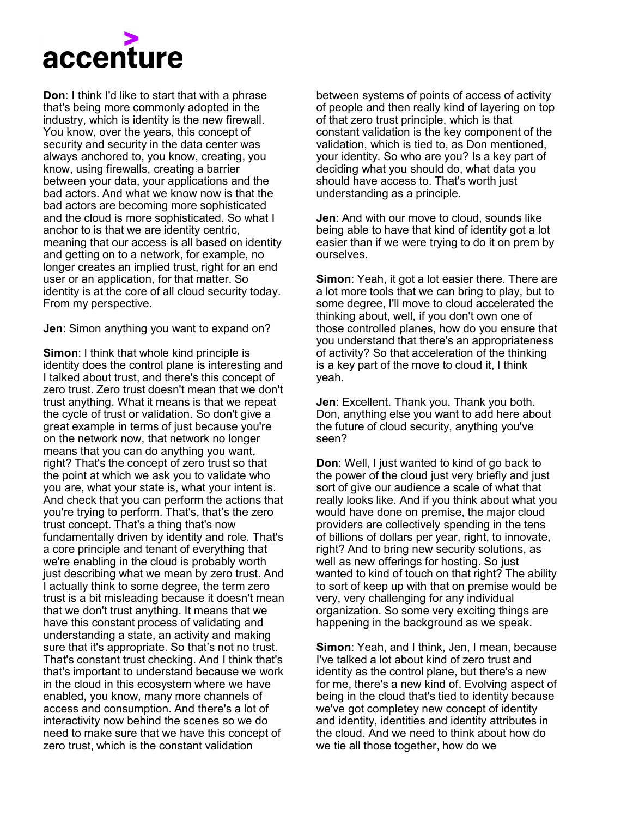

**Don**: I think I'd like to start that with a phrase that's being more commonly adopted in the industry, which is identity is the new firewall. You know, over the years, this concept of security and security in the data center was always anchored to, you know, creating, you know, using firewalls, creating a barrier between your data, your applications and the bad actors. And what we know now is that the bad actors are becoming more sophisticated and the cloud is more sophisticated. So what I anchor to is that we are identity centric, meaning that our access is all based on identity and getting on to a network, for example, no longer creates an implied trust, right for an end user or an application, for that matter. So identity is at the core of all cloud security today. From my perspective.

**Jen**: Simon anything you want to expand on?

**Simon**: I think that whole kind principle is identity does the control plane is interesting and I talked about trust, and there's this concept of zero trust. Zero trust doesn't mean that we don't trust anything. What it means is that we repeat the cycle of trust or validation. So don't give a great example in terms of just because you're on the network now, that network no longer means that you can do anything you want, right? That's the concept of zero trust so that the point at which we ask you to validate who you are, what your state is, what your intent is. And check that you can perform the actions that you're trying to perform. That's, that's the zero trust concept. That's a thing that's now fundamentally driven by identity and role. That's a core principle and tenant of everything that we're enabling in the cloud is probably worth just describing what we mean by zero trust. And I actually think to some degree, the term zero trust is a bit misleading because it doesn't mean that we don't trust anything. It means that we have this constant process of validating and understanding a state, an activity and making sure that it's appropriate. So that's not no trust. That's constant trust checking. And I think that's that's important to understand because we work in the cloud in this ecosystem where we have enabled, you know, many more channels of access and consumption. And there's a lot of interactivity now behind the scenes so we do need to make sure that we have this concept of zero trust, which is the constant validation

between systems of points of access of activity of people and then really kind of layering on top of that zero trust principle, which is that constant validation is the key component of the validation, which is tied to, as Don mentioned, your identity. So who are you? Is a key part of deciding what you should do, what data you should have access to. That's worth just understanding as a principle.

**Jen**: And with our move to cloud, sounds like being able to have that kind of identity got a lot easier than if we were trying to do it on prem by ourselves.

**Simon**: Yeah, it got a lot easier there. There are a lot more tools that we can bring to play, but to some degree, I'll move to cloud accelerated the thinking about, well, if you don't own one of those controlled planes, how do you ensure that you understand that there's an appropriateness of activity? So that acceleration of the thinking is a key part of the move to cloud it, I think yeah.

**Jen**: Excellent. Thank you. Thank you both. Don, anything else you want to add here about the future of cloud security, anything you've seen?

**Don**: Well, I just wanted to kind of go back to the power of the cloud just very briefly and just sort of give our audience a scale of what that really looks like. And if you think about what you would have done on premise, the major cloud providers are collectively spending in the tens of billions of dollars per year, right, to innovate, right? And to bring new security solutions, as well as new offerings for hosting. So just wanted to kind of touch on that right? The ability to sort of keep up with that on premise would be very, very challenging for any individual organization. So some very exciting things are happening in the background as we speak.

**Simon**: Yeah, and I think, Jen, I mean, because I've talked a lot about kind of zero trust and identity as the control plane, but there's a new for me, there's a new kind of. Evolving aspect of being in the cloud that's tied to identity because we've got completey new concept of identity and identity, identities and identity attributes in the cloud. And we need to think about how do we tie all those together, how do we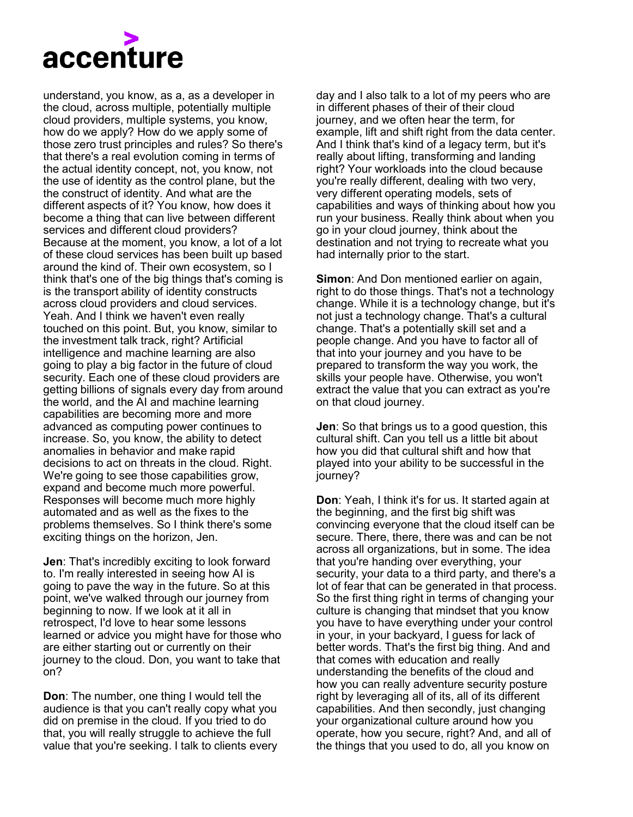

understand, you know, as a, as a developer in the cloud, across multiple, potentially multiple cloud providers, multiple systems, you know, how do we apply? How do we apply some of those zero trust principles and rules? So there's that there's a real evolution coming in terms of the actual identity concept, not, you know, not the use of identity as the control plane, but the the construct of identity. And what are the different aspects of it? You know, how does it become a thing that can live between different services and different cloud providers? Because at the moment, you know, a lot of a lot of these cloud services has been built up based around the kind of. Their own ecosystem, so I think that's one of the big things that's coming is is the transport ability of identity constructs across cloud providers and cloud services. Yeah. And I think we haven't even really touched on this point. But, you know, similar to the investment talk track, right? Artificial intelligence and machine learning are also going to play a big factor in the future of cloud security. Each one of these cloud providers are getting billions of signals every day from around the world, and the AI and machine learning capabilities are becoming more and more advanced as computing power continues to increase. So, you know, the ability to detect anomalies in behavior and make rapid decisions to act on threats in the cloud. Right. We're going to see those capabilities grow, expand and become much more powerful. Responses will become much more highly automated and as well as the fixes to the problems themselves. So I think there's some exciting things on the horizon, Jen.

**Jen**: That's incredibly exciting to look forward to. I'm really interested in seeing how AI is going to pave the way in the future. So at this point, we've walked through our journey from beginning to now. If we look at it all in retrospect, I'd love to hear some lessons learned or advice you might have for those who are either starting out or currently on their journey to the cloud. Don, you want to take that on?

**Don**: The number, one thing I would tell the audience is that you can't really copy what you did on premise in the cloud. If you tried to do that, you will really struggle to achieve the full value that you're seeking. I talk to clients every

day and I also talk to a lot of my peers who are in different phases of their of their cloud journey, and we often hear the term, for example, lift and shift right from the data center. And I think that's kind of a legacy term, but it's really about lifting, transforming and landing right? Your workloads into the cloud because you're really different, dealing with two very, very different operating models, sets of capabilities and ways of thinking about how you run your business. Really think about when you go in your cloud journey, think about the destination and not trying to recreate what you had internally prior to the start.

**Simon**: And Don mentioned earlier on again, right to do those things. That's not a technology change. While it is a technology change, but it's not just a technology change. That's a cultural change. That's a potentially skill set and a people change. And you have to factor all of that into your journey and you have to be prepared to transform the way you work, the skills your people have. Otherwise, you won't extract the value that you can extract as you're on that cloud journey.

**Jen**: So that brings us to a good question, this cultural shift. Can you tell us a little bit about how you did that cultural shift and how that played into your ability to be successful in the journey?

**Don**: Yeah, I think it's for us. It started again at the beginning, and the first big shift was convincing everyone that the cloud itself can be secure. There, there, there was and can be not across all organizations, but in some. The idea that you're handing over everything, your security, your data to a third party, and there's a lot of fear that can be generated in that process. So the first thing right in terms of changing your culture is changing that mindset that you know you have to have everything under your control in your, in your backyard, I guess for lack of better words. That's the first big thing. And and that comes with education and really understanding the benefits of the cloud and how you can really adventure security posture right by leveraging all of its, all of its different capabilities. And then secondly, just changing your organizational culture around how you operate, how you secure, right? And, and all of the things that you used to do, all you know on